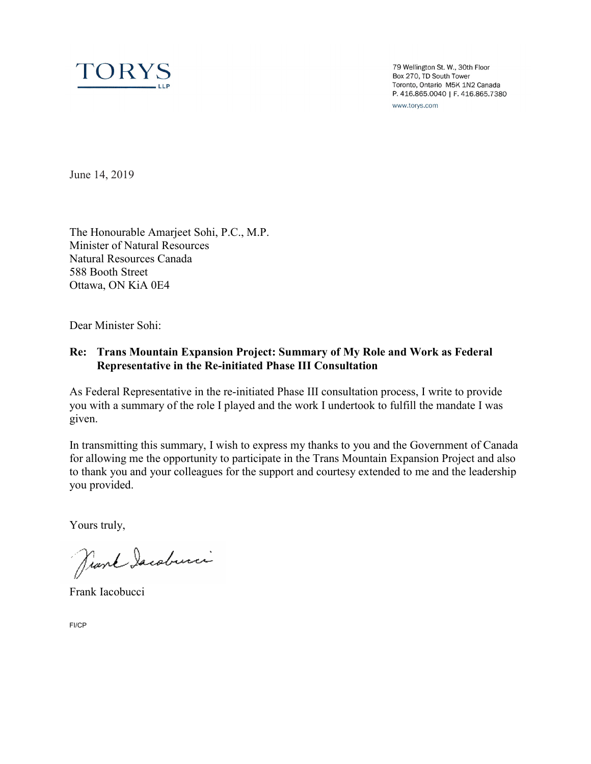

79 Wellington St. W., 30th Floor Box 270, TD South Tower Toronto, Ontario M5K 1N2 Canada P. 416.865.0040 | F. 416.865.7380 www.torys.com

June 14, 2019

The Honourable Amarjeet Sohi, P.C., M.P. Minister of Natural Resources Natural Resources Canada 588 Booth Street Ottawa, ON KiA 0E4

Dear Minister Sohi:

# **Re: Trans Mountain Expansion Project: Summary of My Role and Work as Federal Representative in the Re-initiated Phase III Consultation**

As Federal Representative in the re-initiated Phase III consultation process, I write to provide you with a summary of the role I played and the work I undertook to fulfill the mandate I was given.

In transmitting this summary, I wish to express my thanks to you and the Government of Canada for allowing me the opportunity to participate in the Trans Mountain Expansion Project and also to thank you and your colleagues for the support and courtesy extended to me and the leadership you provided.

Yours truly,

Prank Iacoburci

Frank Iacobucci

FI/CP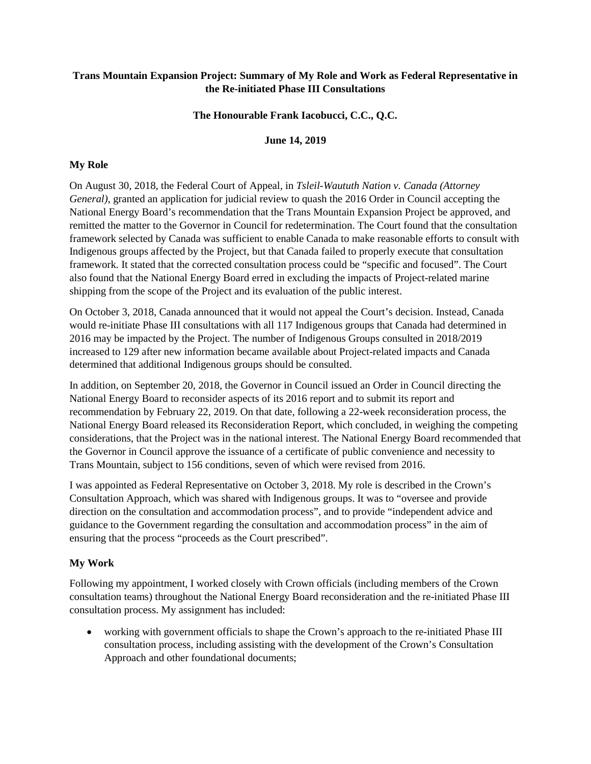## **Trans Mountain Expansion Project: Summary of My Role and Work as Federal Representative in the Re-initiated Phase III Consultations**

## **The Honourable Frank Iacobucci, C.C., Q.C.**

## **June 14, 2019**

## **My Role**

On August 30, 2018, the Federal Court of Appeal, in *Tsleil-Waututh Nation v. Canada (Attorney General)*, granted an application for judicial review to quash the 2016 Order in Council accepting the National Energy Board's recommendation that the Trans Mountain Expansion Project be approved, and remitted the matter to the Governor in Council for redetermination. The Court found that the consultation framework selected by Canada was sufficient to enable Canada to make reasonable efforts to consult with Indigenous groups affected by the Project, but that Canada failed to properly execute that consultation framework. It stated that the corrected consultation process could be "specific and focused". The Court also found that the National Energy Board erred in excluding the impacts of Project-related marine shipping from the scope of the Project and its evaluation of the public interest.

On October 3, 2018, Canada announced that it would not appeal the Court's decision. Instead, Canada would re-initiate Phase III consultations with all 117 Indigenous groups that Canada had determined in 2016 may be impacted by the Project. The number of Indigenous Groups consulted in 2018/2019 increased to 129 after new information became available about Project-related impacts and Canada determined that additional Indigenous groups should be consulted.

In addition, on September 20, 2018, the Governor in Council issued an Order in Council directing the National Energy Board to reconsider aspects of its 2016 report and to submit its report and recommendation by February 22, 2019. On that date, following a 22-week reconsideration process, the National Energy Board released its Reconsideration Report, which concluded, in weighing the competing considerations, that the Project was in the national interest. The National Energy Board recommended that the Governor in Council approve the issuance of a certificate of public convenience and necessity to Trans Mountain, subject to 156 conditions, seven of which were revised from 2016.

I was appointed as Federal Representative on October 3, 2018. My role is described in the Crown's Consultation Approach, which was shared with Indigenous groups. It was to "oversee and provide direction on the consultation and accommodation process", and to provide "independent advice and guidance to the Government regarding the consultation and accommodation process" in the aim of ensuring that the process "proceeds as the Court prescribed".

## **My Work**

Following my appointment, I worked closely with Crown officials (including members of the Crown consultation teams) throughout the National Energy Board reconsideration and the re-initiated Phase III consultation process. My assignment has included:

 working with government officials to shape the Crown's approach to the re-initiated Phase III consultation process, including assisting with the development of the Crown's Consultation Approach and other foundational documents;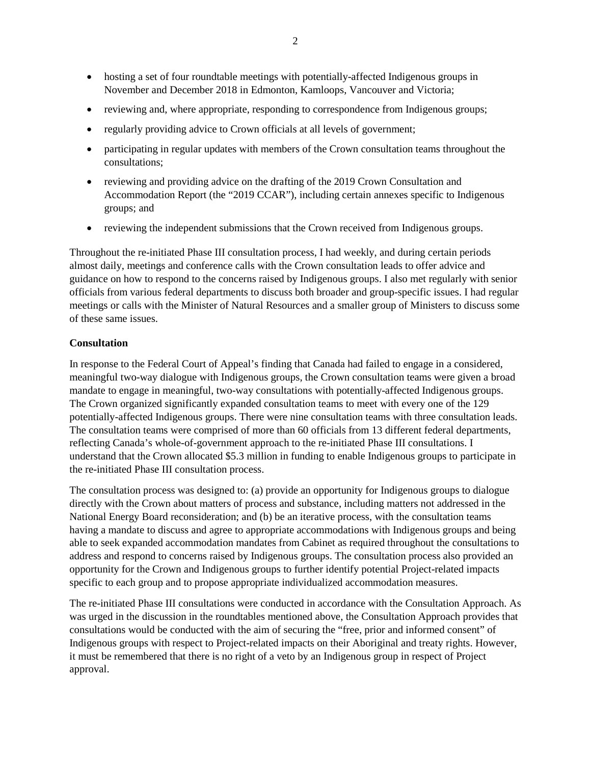- hosting a set of four roundtable meetings with potentially-affected Indigenous groups in November and December 2018 in Edmonton, Kamloops, Vancouver and Victoria;
- reviewing and, where appropriate, responding to correspondence from Indigenous groups;
- $\bullet$ regularly providing advice to Crown officials at all levels of government;
- participating in regular updates with members of the Crown consultation teams throughout the consultations;
- reviewing and providing advice on the drafting of the 2019 Crown Consultation and Accommodation Report (the "2019 CCAR"), including certain annexes specific to Indigenous groups; and
- $\bullet$ reviewing the independent submissions that the Crown received from Indigenous groups.

Throughout the re-initiated Phase III consultation process, I had weekly, and during certain periods almost daily, meetings and conference calls with the Crown consultation leads to offer advice and guidance on how to respond to the concerns raised by Indigenous groups. I also met regularly with senior officials from various federal departments to discuss both broader and group-specific issues. I had regular meetings or calls with the Minister of Natural Resources and a smaller group of Ministers to discuss some of these same issues.

#### **Consultation**

In response to the Federal Court of Appeal's finding that Canada had failed to engage in a considered, meaningful two-way dialogue with Indigenous groups, the Crown consultation teams were given a broad mandate to engage in meaningful, two-way consultations with potentially-affected Indigenous groups. The Crown organized significantly expanded consultation teams to meet with every one of the 129 potentially-affected Indigenous groups. There were nine consultation teams with three consultation leads. The consultation teams were comprised of more than 60 officials from 13 different federal departments, reflecting Canada's whole-of-government approach to the re-initiated Phase III consultations. I understand that the Crown allocated \$5.3 million in funding to enable Indigenous groups to participate in the re-initiated Phase III consultation process.

The consultation process was designed to: (a) provide an opportunity for Indigenous groups to dialogue directly with the Crown about matters of process and substance, including matters not addressed in the National Energy Board reconsideration; and (b) be an iterative process, with the consultation teams having a mandate to discuss and agree to appropriate accommodations with Indigenous groups and being able to seek expanded accommodation mandates from Cabinet as required throughout the consultations to address and respond to concerns raised by Indigenous groups. The consultation process also provided an opportunity for the Crown and Indigenous groups to further identify potential Project-related impacts specific to each group and to propose appropriate individualized accommodation measures.

The re-initiated Phase III consultations were conducted in accordance with the Consultation Approach. As was urged in the discussion in the roundtables mentioned above, the Consultation Approach provides that consultations would be conducted with the aim of securing the "free, prior and informed consent" of Indigenous groups with respect to Project-related impacts on their Aboriginal and treaty rights. However, it must be remembered that there is no right of a veto by an Indigenous group in respect of Project approval.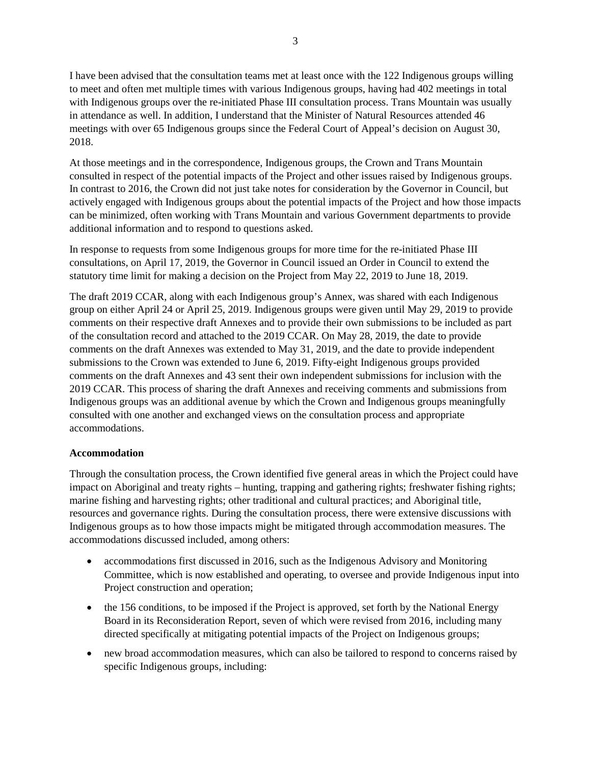I have been advised that the consultation teams met at least once with the 122 Indigenous groups willing to meet and often met multiple times with various Indigenous groups, having had 402 meetings in total with Indigenous groups over the re-initiated Phase III consultation process. Trans Mountain was usually in attendance as well. In addition, I understand that the Minister of Natural Resources attended 46 meetings with over 65 Indigenous groups since the Federal Court of Appeal's decision on August 30, 2018.

At those meetings and in the correspondence, Indigenous groups, the Crown and Trans Mountain consulted in respect of the potential impacts of the Project and other issues raised by Indigenous groups. In contrast to 2016, the Crown did not just take notes for consideration by the Governor in Council, but actively engaged with Indigenous groups about the potential impacts of the Project and how those impacts can be minimized, often working with Trans Mountain and various Government departments to provide additional information and to respond to questions asked.

In response to requests from some Indigenous groups for more time for the re-initiated Phase III consultations, on April 17, 2019, the Governor in Council issued an Order in Council to extend the statutory time limit for making a decision on the Project from May 22, 2019 to June 18, 2019.

The draft 2019 CCAR, along with each Indigenous group's Annex, was shared with each Indigenous group on either April 24 or April 25, 2019. Indigenous groups were given until May 29, 2019 to provide comments on their respective draft Annexes and to provide their own submissions to be included as part of the consultation record and attached to the 2019 CCAR. On May 28, 2019, the date to provide comments on the draft Annexes was extended to May 31, 2019, and the date to provide independent submissions to the Crown was extended to June 6, 2019. Fifty-eight Indigenous groups provided comments on the draft Annexes and 43 sent their own independent submissions for inclusion with the 2019 CCAR. This process of sharing the draft Annexes and receiving comments and submissions from Indigenous groups was an additional avenue by which the Crown and Indigenous groups meaningfully consulted with one another and exchanged views on the consultation process and appropriate accommodations.

#### **Accommodation**

Through the consultation process, the Crown identified five general areas in which the Project could have impact on Aboriginal and treaty rights – hunting, trapping and gathering rights; freshwater fishing rights; marine fishing and harvesting rights; other traditional and cultural practices; and Aboriginal title, resources and governance rights. During the consultation process, there were extensive discussions with Indigenous groups as to how those impacts might be mitigated through accommodation measures. The accommodations discussed included, among others:

- accommodations first discussed in 2016, such as the Indigenous Advisory and Monitoring Committee, which is now established and operating, to oversee and provide Indigenous input into Project construction and operation;
- the 156 conditions, to be imposed if the Project is approved, set forth by the National Energy Board in its Reconsideration Report, seven of which were revised from 2016, including many directed specifically at mitigating potential impacts of the Project on Indigenous groups;
- new broad accommodation measures, which can also be tailored to respond to concerns raised by specific Indigenous groups, including: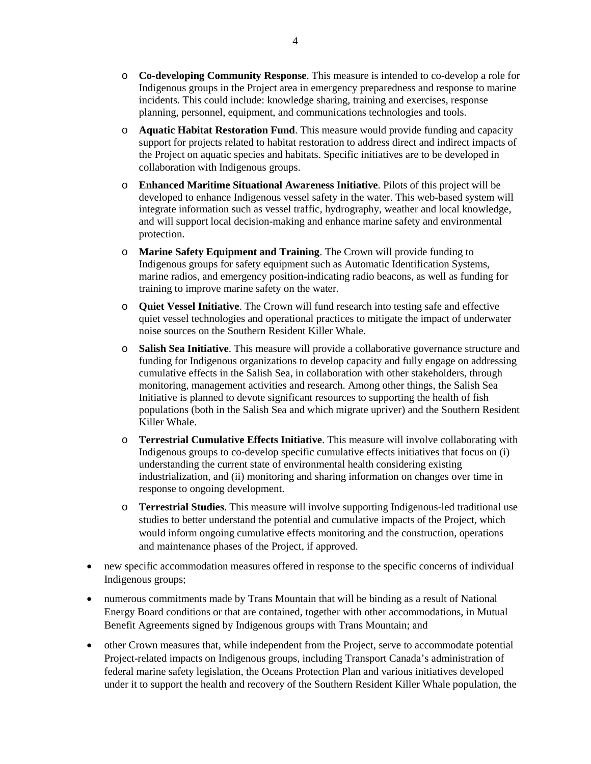- o **Co-developing Community Response**. This measure is intended to co-develop a role for Indigenous groups in the Project area in emergency preparedness and response to marine incidents. This could include: knowledge sharing, training and exercises, response planning, personnel, equipment, and communications technologies and tools.
- o **Aquatic Habitat Restoration Fund**. This measure would provide funding and capacity support for projects related to habitat restoration to address direct and indirect impacts of the Project on aquatic species and habitats. Specific initiatives are to be developed in collaboration with Indigenous groups.
- o **Enhanced Maritime Situational Awareness Initiative**. Pilots of this project will be developed to enhance Indigenous vessel safety in the water. This web-based system will integrate information such as vessel traffic, hydrography, weather and local knowledge, and will support local decision-making and enhance marine safety and environmental protection.
- o **Marine Safety Equipment and Training**. The Crown will provide funding to Indigenous groups for safety equipment such as Automatic Identification Systems, marine radios, and emergency position-indicating radio beacons, as well as funding for training to improve marine safety on the water.
- o **Quiet Vessel Initiative**. The Crown will fund research into testing safe and effective quiet vessel technologies and operational practices to mitigate the impact of underwater noise sources on the Southern Resident Killer Whale.
- o funding for Indigenous organizations to develop capacity and fully engage on addressing cumulative effects in the Salish Sea, in collaboration with other stakeholders, through monitoring, management activities and research. Among other things, the Salish Sea Initiative is planned to devote significant resources to supporting the health of fish populations (both in the Salish Sea and which migrate upriver) and the Southern Resident Killer Whale. **Salish Sea Initiative**. This measure will provide a collaborative governance structure and
- o **Terrestrial Cumulative Effects Initiative**. This measure will involve collaborating with Indigenous groups to co-develop specific cumulative effects initiatives that focus on (i) understanding the current state of environmental health considering existing industrialization, and (ii) monitoring and sharing information on changes over time in response to ongoing development.
- o **Terrestrial Studies**. This measure will involve supporting Indigenous-led traditional use studies to better understand the potential and cumulative impacts of the Project, which would inform ongoing cumulative effects monitoring and the construction, operations and maintenance phases of the Project, if approved.
- new specific accommodation measures offered in response to the specific concerns of individual Indigenous groups;
- $\bullet$ numerous commitments made by Trans Mountain that will be binding as a result of National Energy Board conditions or that are contained, together with other accommodations, in Mutual Benefit Agreements signed by Indigenous groups with Trans Mountain; and
- other Crown measures that, while independent from the Project, serve to accommodate potential Project-related impacts on Indigenous groups, including Transport Canada's administration of federal marine safety legislation, the Oceans Protection Plan and various initiatives developed under it to support the health and recovery of the Southern Resident Killer Whale population, the